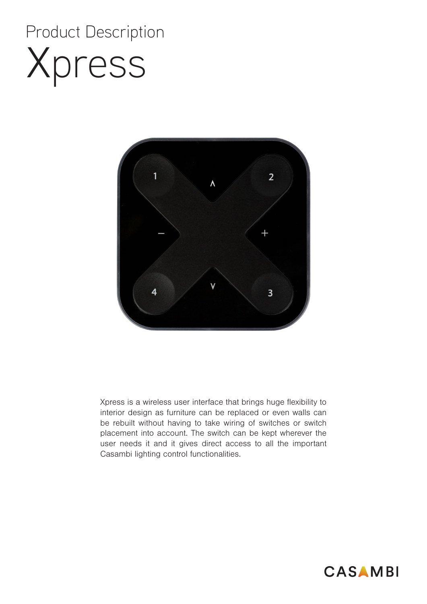# Xpress Product Description



Xpress is a wireless user interface that brings huge flexibility to interior design as furniture can be replaced or even walls can be rebuilt without having to take wiring of switches or switch placement into account. The switch can be kept wherever the user needs it and it gives direct access to all the important Casambi lighting control functionalities.

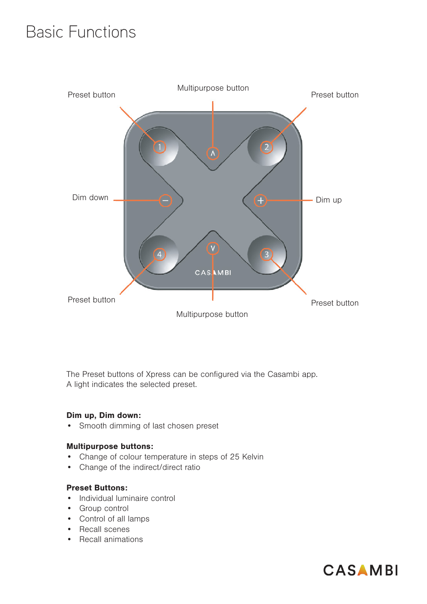### Basic Functions



The Preset buttons of Xpress can be configured via the Casambi app. A light indicates the selected preset.

#### Dim up, Dim down:

• Smooth dimming of last chosen preset

#### Multipurpose buttons:

- Change of colour temperature in steps of 25 Kelvin
- Change of the indirect/direct ratio

#### Preset Buttons:

- Individual luminaire control
- Group control
- Control of all lamps
- Recall scenes
- Recall animations

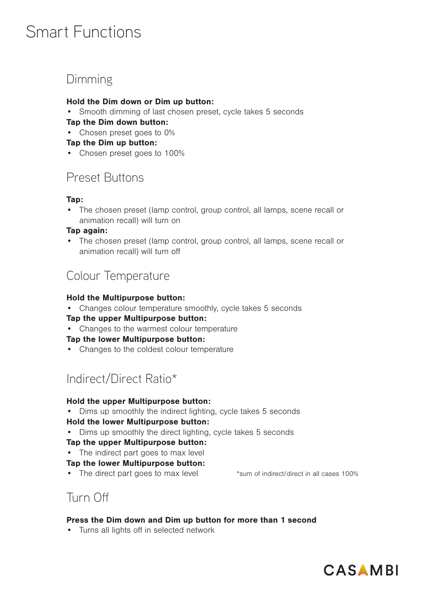### Smart Functions

### Dimming

#### Hold the Dim down or Dim up button:

Smooth dimming of last chosen preset, cycle takes 5 seconds

#### Tap the Dim down button:

• Chosen preset goes to 0%

#### Tap the Dim up button:

• Chosen preset goes to 100%

#### Preset Buttons

#### Tap:

• The chosen preset (lamp control, group control, all lamps, scene recall or animation recall) will turn on

#### Tap again:

• The chosen preset (lamp control, group control, all lamps, scene recall or animation recall) will turn off

#### Colour Temperature

#### Hold the Multipurpose button:

• Changes colour temperature smoothly, cycle takes 5 seconds

#### Tap the upper Multipurpose button:

• Changes to the warmest colour temperature

#### Tap the lower Multipurpose button:

• Changes to the coldest colour temperature

### Indirect/Direct Ratio\*

#### Hold the upper Multipurpose button:

- Dims up smoothly the indirect lighting, cycle takes 5 seconds Hold the lower Multipurpose button:
- Dims up smoothly the direct lighting, cycle takes 5 seconds

#### Tap the upper Multipurpose button:

#### • The indirect part goes to max level

#### Tap the lower Multipurpose button:

• The direct part goes to max level \*sum of indirect/direct in all cases 100%

#### Turn Off

#### Press the Dim down and Dim up button for more than 1 second

• Turns all lights off in selected network